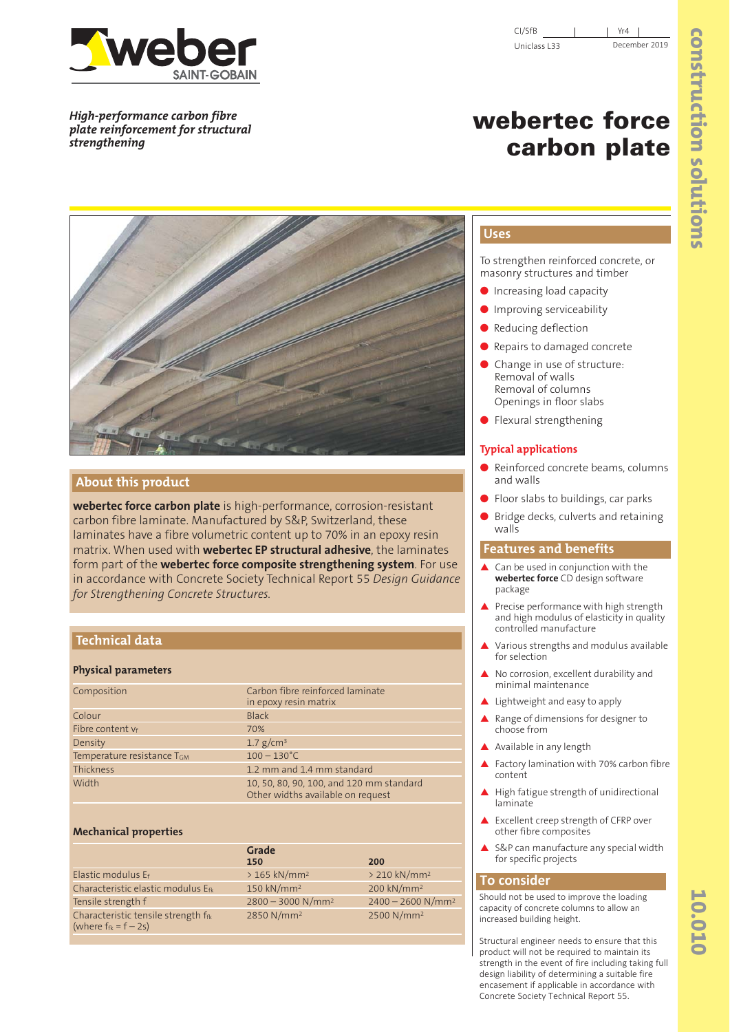

*High-performance carbon fibre plate reinforcement for structural strengthening*

# **webertec force carbon plate**



# **About this product**

**webertec force carbon plate** is high-performance, corrosion-resistant carbon fibre laminate. Manufactured by S&P, Switzerland, these laminates have a fibre volumetric content up to 70% in an epoxy resin matrix. When used with **webertec EP structural adhesive**, the laminates form part of the **webertec force composite strengthening system**. For use in accordance with Concrete Society Technical Report 55 *Design Guidance for Strengthening Concrete Structures.*

# **Technical data**

#### **Physical parameters**

| Composition                | Carbon fibre reinforced laminate<br>in epoxy resin matrix                     |
|----------------------------|-------------------------------------------------------------------------------|
| Colour                     | <b>Black</b>                                                                  |
| Fibre content vf           | 70%                                                                           |
| Density                    | 1.7 $g/cm^3$                                                                  |
| Temperature resistance TGM | $100 - 130^{\circ}$ C                                                         |
| Thickness                  | 1.2 mm and 1.4 mm standard                                                    |
| Width                      | 10, 50, 80, 90, 100, and 120 mm standard<br>Other widths available on request |

#### **Mechanical properties**

|                                                                   | Grade<br>150                    | 200                             |
|-------------------------------------------------------------------|---------------------------------|---------------------------------|
| Elastic modulus Ef                                                | $>165$ kN/mm <sup>2</sup>       | $> 210$ kN/mm <sup>2</sup>      |
| Characteristic elastic modulus Efk                                | 150 kN/mm <sup>2</sup>          | 200 kN/mm <sup>2</sup>          |
| Tensile strength f                                                | $2800 - 3000$ N/mm <sup>2</sup> | $2400 - 2600$ N/mm <sup>2</sup> |
| Characteristic tensile strength ffk<br>(where $f_{fk} = f - 2s$ ) | 2850 N/mm <sup>2</sup>          | 2500 N/mm <sup>2</sup>          |

# **Uses**

To strengthen reinforced concrete, or masonry structures and timber

- Increasing load capacity
- Improving serviceability
- Reducing deflection
- Repairs to damaged concrete
- Change in use of structure: Removal of walls Removal of columns Openings in floor slabs
- Flexural strengthening

#### **Typical applications**

- Reinforced concrete beams, columns and walls
- Floor slabs to buildings, car parks
- Bridge decks, culverts and retaining walls

#### **Features and benefits**

- Can be used in conjunction with the **webertec force** CD design software package
- ▲ Precise performance with high strength and high modulus of elasticity in quality controlled manufacture
- Various strengths and modulus available for selection
- No corrosion, excellent durability and minimal maintenance
- Lightweight and easy to apply
- Range of dimensions for designer to choose from
- ▲ Available in any length
- Factory lamination with 70% carbon fibre content
- High fatigue strength of unidirectional laminate
- Excellent creep strength of CFRP over other fibre composites
- S&P can manufacture any special width for specific projects

# **To consider**

Should not be used to improve the loading capacity of concrete columns to allow an increased building height.

Structural engineer needs to ensure that this product will not be required to maintain its strength in the event of fire including taking full design liability of determining a suitable fire encasement if applicable in accordance with Concrete Society Technical Report 55.